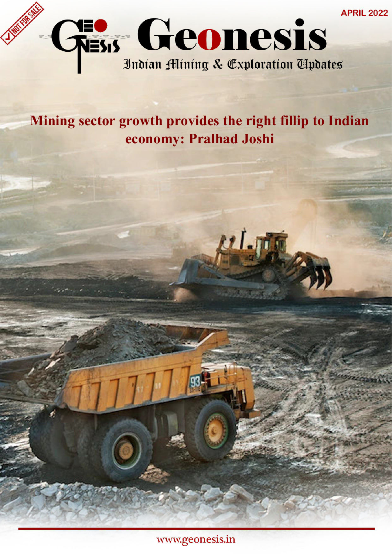

# **Mining sector growth provides the right fillip to Indian economy: Pralhad Joshi**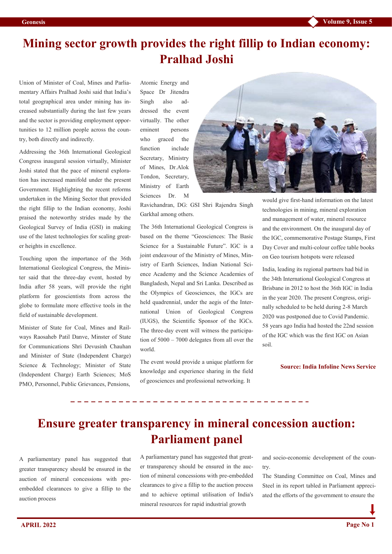### **Mining sector growth provides the right fillip to Indian economy: Pralhad Joshi**

Union of Minister of Coal, Mines and Parliamentary Affairs Pralhad Joshi said that India's total geographical area under mining has increased substantially during the last few years and the sector is providing employment opportunities to 12 million people across the country, both directly and indirectly.

Addressing the 36th International Geological Congress inaugural session virtually, Minister Joshi stated that the pace of mineral exploration has increased manifold under the present Government. Highlighting the recent reforms undertaken in the Mining Sector that provided the right fillip to the Indian economy, Joshi praised the noteworthy strides made by the Geological Survey of India (GSI) in making use of the latest technologies for scaling greater heights in excellence.

Touching upon the importance of the 36th International Geological Congress, the Minister said that the three-day event, hosted by India after 58 years, will provide the right platform for geoscientists from across the globe to formulate more effective tools in the field of sustainable development.

Minister of State for Coal, Mines and Railways Raosaheb Patil Danve, Minster of State for Communications Shri Devusinh Chauhan and Minister of State (Independent Charge) Science & Technology; Minister of State (Independent Charge) Earth Sciences; MoS PMO, Personnel, Public Grievances, Pensions,

Atomic Energy and Space Dr Jitendra Singh also addressed the event virtually. The other eminent persons who graced the function include Secretary, Ministry of Mines, Dr.Alok Tondon, Secretary, Ministry of Earth Sciences Dr. M



Ravichandran, DG: GSI Shri Rajendra Singh Garkhal among others.

The 36th International Geological Congress is based on the theme "Geosciences: The Basic Science for a Sustainable Future". IGC is a joint endeavour of the Ministry of Mines, Ministry of Earth Sciences, Indian National Science Academy and the Science Academies of Bangladesh, Nepal and Sri Lanka. Described as the Olympics of Geosciences, the IGCs are held quadrennial, under the aegis of the International Union of Geological Congress (IUGS), the Scientific Sponsor of the IGCs. The three-day event will witness the participation of 5000 – 7000 delegates from all over the world.

The event would provide a unique platform for knowledge and experience sharing in the field of geosciences and professional networking. It

would give first-hand information on the latest technologies in mining, mineral exploration and management of water, mineral resource and the environment. On the inaugural day of the IGC, commemorative Postage Stamps, First Day Cover and multi-colour coffee table books on Geo tourism hotspots were released

India, leading its regional partners had bid in the 34th International Geological Congress at Brisbane in 2012 to host the 36th IGC in India in the year 2020. The present Congress, originally scheduled to be held during 2-8 March 2020 was postponed due to Covid Pandemic. 58 years ago India had hosted the 22nd session of the IGC which was the first IGC on Asian soil.

**Source: India Infoline News Service**

### **Ensure greater transparency in mineral concession auction: Parliament panel**

A parliamentary panel has suggested that greater transparency should be ensured in the auction of mineral concessions with preembedded clearances to give a fillip to the auction process

A parliamentary panel has suggested that greater transparency should be ensured in the auction of mineral concessions with pre-embedded clearances to give a fillip to the auction process and to achieve optimal utilisation of India's mineral resources for rapid industrial growth

and socio-economic development of the country.

The Standing Committee on Coal, Mines and Steel in its report tabled in Parliament appreciated the efforts of the government to ensure the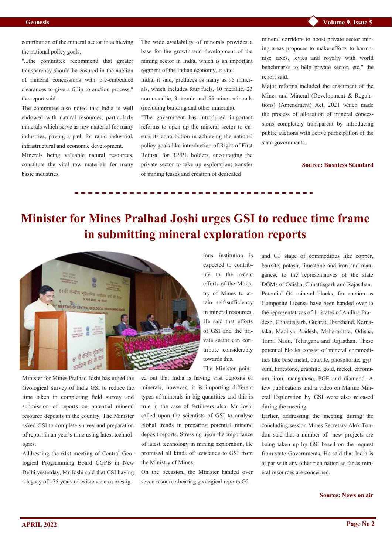contribution of the mineral sector in achieving the national policy goals.

"...the committee recommend that greater transparency should be ensured in the auction of mineral concessions with pre-embedded clearances to give a fillip to auction process," the report said.

The committee also noted that India is well endowed with natural resources, particularly minerals which serve as raw material for many industries, paving a path for rapid industrial, infrastructural and economic development.

Minerals being valuable natural resources, constitute the vital raw materials for many basic industries.

The wide availability of minerals provides a base for the growth and development of the mining sector in India, which is an important segment of the Indian economy, it said.

India, it said, produces as many as 95 minerals, which includes four fuels, 10 metallic, 23 non-metallic, 3 atomic and 55 minor minerals (including building and other minerals).

"The government has introduced important reforms to open up the mineral sector to ensure its contribution in achieving the national policy goals like introduction of Right of First Refusal for RP/PL holders, encouraging the private sector to take up exploration; transfer of mining leases and creation of dedicated

mineral corridors to boost private sector mining areas proposes to make efforts to harmonise taxes, levies and royalty with world benchmarks to help private sector, etc," the report said.

Major reforms included the enactment of the Mines and Mineral (Development & Regulations) (Amendment) Act, 2021 which made the process of allocation of mineral concessions completely transparent by introducing public auctions with active participation of the state governments.

**Source: Busniess Standard**

## **Minister for Mines Pralhad Joshi urges GSI to reduce time frame in submitting mineral exploration reports**

ious institution is expected to contribute to the recent efforts of the Ministry of Mines to attain self-sufficiency in mineral resources. He said that efforts of GSI and the private sector can con-

towards this.

The Minister point-



Minister for Mines Pralhad Joshi has urged the Geological Survey of India GSI to reduce the time taken in completing field survey and submission of reports on potential mineral resource deposits in the country. The Minister asked GSI to complete survey and preparation of report in an year's time using latest technologies.

Addressing the 61st meeting of Central Geological Programming Board CGPB in New Delhi yesterday, Mr Joshi said that GSI having a legacy of 175 years of existence as a prestiged out that India is having vast deposits of minerals, however, it is importing different types of minerals in big quantities and this is true in the case of fertilizers also. Mr Joshi called upon the scientists of GSI to analyse global trends in preparing potential mineral deposit reports. Stressing upon the importance of latest technology in mining exploration, He promised all kinds of assistance to GSI from the Ministry of Mines.

On the occasion, the Minister handed over seven resource-bearing geological reports G2

and G3 stage of commodities like copper, bauxite, potash, limestone and iron and manganese to the representatives of the state DGMs of Odisha, Chhattisgarh and Rajasthan. Potential G4 mineral blocks, for auction as Composite License have been handed over to the representatives of 11 states of Andhra Pradesh, Chhattisgarh, Gujarat, Jharkhand, Karnataka, Madhya Pradesh, Maharashtra, Odisha, Tamil Nadu, Telangana and Rajasthan. These potential blocks consist of mineral commodities like base metal, bauxite, phosphorite, gypsum, limestone, graphite, gold, nickel, chromium, iron, manganese, PGE and diamond. A few publications and a video on Marine Mineral Exploration by GSI were also released during the meeting.

Earlier, addressing the meeting during the concluding session Mines Secretary Alok Tondon said that a number of new projects are being taken up by GSI based on the request from state Governments. He said that India is at par with any other rich nation as far as mineral resources are concerned.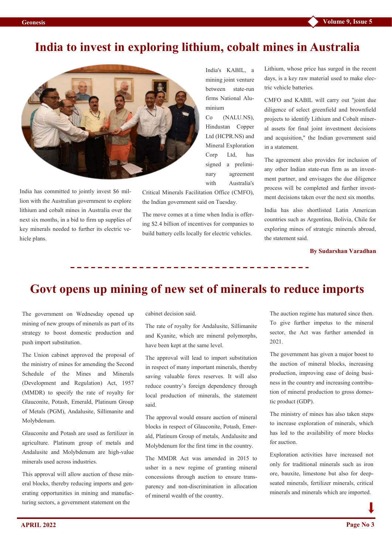#### **India to invest in exploring lithium, cobalt mines in Australia**



India has committed to jointly invest \$6 million with the Australian government to explore lithium and cobalt mines in Australia over the next six months, in a bid to firm up supplies of key minerals needed to further its electric vehicle plans.

India's KABIL, a mining joint venture between state-run firms National Aluminium

Co [\(NALU.NS\),](https://www.reuters.com/companies/NALU.NS) Hindustan Copper Ltd [\(HCPR.NS\)](https://www.reuters.com/companies/HCPR.NS) and Mineral Exploration Corp Ltd, has signed a preliminary agreement with Australia's

Critical Minerals Facilitation Office (CMFO), the Indian government said on Tuesday.

The move comes at a time when India is offering \$2.4 billion of incentives for companies to build battery cells locally for electric vehicles.

Lithium, whose price has surged in the recent days, is a key raw material used to make electric vehicle batteries.

CMFO and KABIL will carry out "joint due diligence of select greenfield and brownfield projects to identify Lithium and Cobalt mineral assets for final joint investment decisions and acquisition," the Indian government said in a statement.

The agreement also provides for inclusion of any other Indian state-run firm as an investment partner, and envisages the due diligence process will be completed and further investment decisions taken over the next six months.

India has also shortlisted Latin American countries such as Argentina, Bolivia, Chile for exploring mines of strategic minerals abroad, the statement said.

**By [Sudarshan Varadhan](https://www.reuters.com/authors/sudarshan-varadhan/)**

# **Govt opens up mining of new set of minerals to reduce imports**

The government on Wednesday opened up mining of new groups of minerals as part of its strategy to boost domestic production and push import substitution.

The Union cabinet approved the proposal of the ministry of mines for amending the Second Schedule of the Mines and Minerals (Development and Regulation) Act, 1957 (MMDR) to specify the rate of royalty for Glauconite, Potash, Emerald, Platinum Group of Metals (PGM), Andalusite, Sillimanite and Molybdenum.

Glauconite and Potash are used as fertilizer in agriculture. Platinum group of metals and Andalusite and Molybdenum are high-value minerals used across industries.

This approval will allow auction of these mineral blocks, thereby reducing imports and generating opportunities in mining and manufacturing sectors, a government statement on the

cabinet decision said.

The rate of royalty for Andalusite, Sillimanite and Kyanite, which are mineral polymorphs, have been kept at the same level.

The approval will lead to import substitution in respect of many important minerals, thereby saving valuable forex reserves. It will also reduce country's foreign dependency through local production of minerals, the statement said.

The approval would ensure auction of mineral blocks in respect of Glauconite, Potash, Emerald, Platinum Group of metals, Andalusite and Molybdenum for the first time in the country.

The MMDR Act was amended in 2015 to usher in a new regime of granting mineral concessions through auction to ensure transparency and non-discrimination in allocation of mineral wealth of the country.

The auction regime has matured since then. To give further impetus to the mineral sector, the Act was further amended in 2021.

The government has given a major boost to the auction of mineral blocks, increasing production, improving ease of doing business in the country and increasing contribution of mineral production to gross domestic product (GDP).

The ministry of mines has also taken steps to increase exploration of minerals, which has led to the availability of more blocks for auction.

Exploration activities have increased not only for traditional minerals such as iron ore, bauxite, limestone but also for deepseated minerals, fertilizer minerals, critical minerals and minerals which are imported.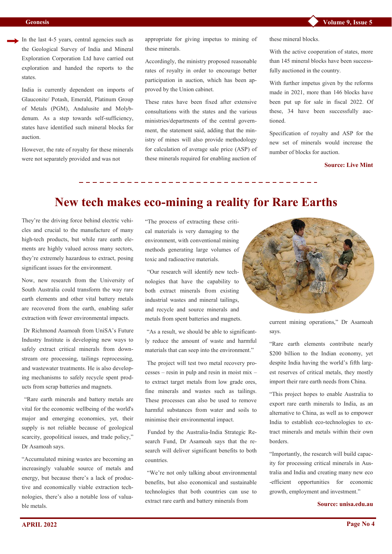In the last 4-5 years, central agencies such as the Geological Survey of India and Mineral Exploration Corporation Ltd have carried out exploration and handed the reports to the states.

India is currently dependent on imports of Glauconite/ Potash, Emerald, Platinum Group of Metals (PGM), Andalusite and Molybdenum. As a step towards self-sufficiency, states have identified such mineral blocks for auction.

However, the rate of royalty for these minerals were not separately provided and was not

appropriate for giving impetus to mining of these minerals.

Accordingly, the ministry proposed reasonable rates of royalty in order to encourage better participation in auction, which has been approved by the Union cabinet.

These rates have been fixed after extensive consultations with the states and the various ministries/departments of the central government, the statement said, adding that the ministry of mines will also provide methodology for calculation of average sale price (ASP) of these minerals required for enabling auction of

these mineral blocks.

With the active cooperation of states, more than 145 mineral blocks have been successfully auctioned in the country.

With further impetus given by the reforms made in 2021, more than 146 blocks have been put up for sale in fiscal 2022. Of these, 34 have been successfully auctioned.

Specification of royalty and ASP for the new set of minerals would increase the number of blocks for auction.

#### **Source: Live Mint**

#### **New tech makes eco-mining a reality for Rare Earths**

They're the driving force behind electric vehicles and crucial to the manufacture of many high-tech products, but while rare earth ele[ments](https://www.ga.gov.au/scientific-topics/minerals/mineral-resources-and-advice/australian-resource-reviews/rare-earth-elements) are highly valued across many sectors, they're extremely hazardous to extract, posing significant issues for the environment.

Now, new research from the University of [South Australia](https://www.unisa.edu.au/) could transform the way rare earth elements and other vital battery metals are recovered from the earth, enabling safer extraction with fewer environmental impacts.

[Dr Richmond Asamoah](https://people.unisa.edu.au/Richmond.Asamoah) from UniSA's Future [Industry Institute](https://fii.unisa.edu.au/) is developing new ways to safely extract critical minerals from downstream ore processing, tailings reprocessing, and wastewater treatments. He is also developing mechanisms to safely recycle spent products from scrap batteries and magnets.

"Rare earth minerals and battery metals are vital for the economic wellbeing of the world's major and emerging economies, yet, their supply is not reliable because of geological scarcity, geopolitical issues, and trade policy," Dr Asamoah says.

"Accumulated mining wastes are becoming an increasingly valuable source of metals and energy, but because there's a lack of productive and economically viable extraction technologies, there's also a notable loss of valuable metals.

"The process of extracting these critical materials is very damaging to the environment, with conventional mining methods generating large volumes of toxic and radioactive materials.

"Our research will identify new technologies that have the capability to both extract minerals from existing industrial wastes and mineral tailings, and recycle and source minerals and metals from spent batteries and magnets.

"As a result, we should be able to significantly reduce the amount of waste and harmful materials that can seep into the environment."

The project will test two metal recovery processes – resin in pulp and resin in moist mix – to extract target metals from low grade ores, fine minerals and wastes such as tailings. These processes can also be used to remove harmful substances from water and soils to minimise their environmental impact.

Funded by the Australia-[India Strategic Re](https://business.gov.au/grants-and-programs/australia-india-strategic-research-fund-aisrf)[search Fund,](https://business.gov.au/grants-and-programs/australia-india-strategic-research-fund-aisrf) Dr Asamoah says that the research will deliver significant benefits to both countries.

"We're not only talking about environmental benefits, but also economical and sustainable technologies that both countries can use to extract rare earth and battery minerals from



current mining operations," Dr Asamoah says.

"Rare earth elements contribute nearly \$[200 billion to the Indian economy,](https://www.nextias.com/current-affairs/18-01-2022/rare-earth-metal#:~:text=Rare%20earth%20elements%20contribute%20a,from%20its%20geopolitical%20rival%2C%20China.) yet despite India having the world's fifth largest reserves of critical metals, they mostly import their rare earth needs from China.

"This project hopes to enable Australia to export rare earth minerals to India, as an alternative to China, as well as to empower India to establish eco-technologies to extract minerals and metals within their own borders.

"Importantly, the research will build capacity for processing critical minerals in Australia and India and creating many new eco -efficient opportunities for economic growth, employment and investment."

#### **Source: unisa.edu.au**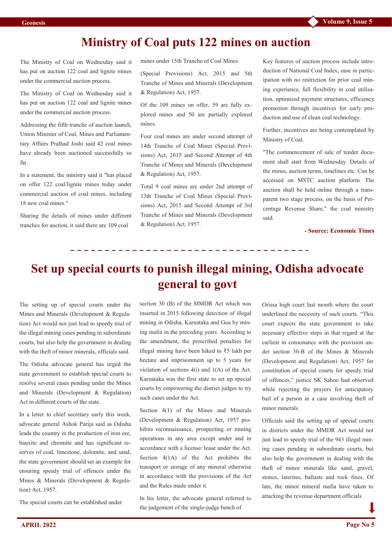### **Ministry of Coal puts 122 mines on auction**

The Ministry of Coal on Wednesday said it has put on auction 122 coal and lignite mines under the commercial auction process.

The Ministry of Coal on Wednesday said it has put on auction 122 coal and lignite mines under the commercial auction process.

Addressing the fifth tranche of auction launch, Union Minister of Coal, Mines and Parliamentary Affairs Pralhad Joshi said 42 coal mines have already been auctioned successfully so far.

In a statement, the ministry said it "has placed on offer 122 coal/lignite mines today under commercial auction of coal mines, including 18 new coal mines."

Sharing the details of mines under different tranches for auction, it said there are 109 coal

mines under 15th Tranche of Coal Mines

(Special Provisions) Act, 2015 and 5th Tranche of Mines and Minerals (Development & Regulation) Act, 1957.

Of the 109 mines on offer, 59 are fully explored mines and 50 are partially explored mines.

Four coal mines are under second attempt of 14th Tranche of Coal Mines (Special Provisions) Act, 2015 and Second Attempt of 4th Tranche of Mines and Minerals (Development & Regulation) Act, 1957.

Total 9 coal mines are under 2nd attempt of 13th Tranche of Coal Mines (Special Provisions) Act, 2015 and Second Attempt of 3rd Tranche of Mines and Minerals (Development & Regulation) Act, 1957.

Key features of auction process include introduction of National Coal Index, ease in participation with no restriction for prior coal mining experience, full flexibility in coal utilisation, optimized payment structures, efficiency promotion through incentives for early production and use of clean coal technology.

Further, incentives are being contemplated by Ministry of Coal.

"The commencement of sale of tender document shall start from Wednesday. Details of the mines, auction terms, timelines etc. Can be accessed on MSTC auction platform. The auction shall be held online through a transparent two stage process, on the basis of Percentage Revenue Share," the coal ministry said.

**- Source: Economic Times** 

## **Set up special courts to punish illegal mining, Odisha advocate general to govt**

The setting up of special courts under the Mines and Minerals (Development & Regulation) Act would not just lead to speedy trial of the illegal mining cases pending in subordinate courts, but also help the government in dealing with the theft of minor minerals, officials said.

The Odisha advocate general has urged the state government to establish special courts to resolve several cases pending under the Mines and Minerals (Development & Regulation) Act in different courts of the state.

In a letter to chief secretary early this week, advocate general Ashok Parija said as Odisha leads the country in the production of iron ore, bauxite and chromite and has significant reserves of coal, limestone, dolomite, and sand, the state government should set an example for ensuring speedy trial of offences under the Mines & Minerals (Development & Regulation) Act, 1957.

The special courts can be established under

section 30 (B) of the MMDR Act which was inserted in 2015 following detection of illegal mining in Odisha, Karnataka and Goa by mining mafia in the preceding years. According to the amendment, the prescribed penalties for illegal mining have been hiked to ₹5 lakh per hectare and imprisonment up to 5 years for violation of sections 4(i) and 1(A) of the Act. Karnataka was the first state to set up special courts by empowering the district judges to try such cases under the Act.

Section 4(1) of the Mines and Minerals (Development & Regulation) Act, 1957 prohibits reconnaissance, prospecting or mining operations in any area except under and in accordance with a license/ lease under the Act. Section  $4(1A)$  of the Act prohibits the transport or storage of any mineral otherwise in accordance with the provisions of the Act and the Rules made under it.

In his letter, the advocate general referred to the judgement of the single-judge bench of

Orissa high court last month where the court underlined the necessity of such courts. "This court expects the state government to take necessary effective steps in that regard at the earliest in consonance with the provision under section 30-B of the Mines & Minerals (Development and Regulation) Act, 1957 for constitution of special courts for speedy trial of offences," justice SK Sahoo had observed while rejecting the prayers for anticipatory bail of a person in a case involving theft of minor minerals.

Officials said the setting up of special courts in districts under the MMDR Act would not just lead to speedy trial of the 943 illegal mining cases pending in subordinate courts, but also help the government in dealing with the theft of minor minerals like sand, gravel, stones, laterites, ballasts and rock fines. Of late, the minor mineral mafia have taken to attacking the revenue department officials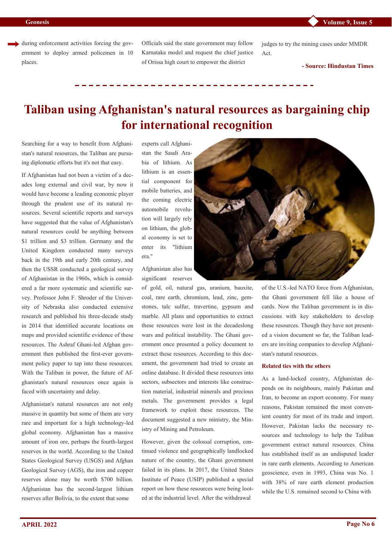during enforcement activities forcing the government to deploy armed policemen in 10 places.

Officials said the state government may follow Karnataka model and request the chief justice of Orissa high court to empower the district

judges to try the mining cases under MMDR Act.

**- Source: Hindustan Times**

## **Taliban using Afghanistan's natural resources as bargaining chip for international recognition**

Searching for a way to benefit from Afghanistan's natural resources, the Taliban are pursuing diplomatic efforts but it's not that easy.

If Afghanistan had not been a victim of a decades long external and civil war, by now it would have become a leading economic player through the prudent use of its natural resources. Several scientific reports and surveys have suggested that the value of Afghanistan's natural resources could be anything between \$1 trillion and \$3 trillion. Germany and the United Kingdom conducted many surveys back in the 19th and early 20th century, and then the USSR conducted a geological survey of Afghanistan in the 1960s, which is considered a far more systematic and scientific survey. Professor John F. Shroder of the University of Nebraska also conducted extensive research and published his three-decade study in 2014 that identified accurate locations on maps and provided scientific evidence of these resources. The Ashraf Ghani-led Afghan government then published the first-ever government policy paper to tap into these resources. With [the Taliban in power,](https://www.dailysabah.com/world/asia-pacific/afghan-president-ghani-relinquishes-power-taliban-form-interim-govt) the future of Afghanistan's natural resources once again is faced with uncertainty and delay.

Afghanistan's natural resources are not only massive in quantity but some of them are very rare and important for a high technology-led global economy. Afghanistan has a massive amount of iron ore, perhaps the fourth-largest reserves in the world. According to the United States Geological Survey (USGS) and Afghan Geological Survey (AGS), the iron and copper reserves alone may be worth \$700 billion. Afghanistan has the second-largest lithium reserves after Bolivia, to the extent that some

experts call Afghanistan the Saudi Arabia of lithium. As lithium is an essential component for mobile batteries, and the coming electric automobile revolution will largely rely on lithium, the global economy is set to enter its "lithium era."

Afghanistan also has significant reserves

of gold, oil, natural gas, uranium, bauxite, coal, rare earth, chromium, lead, zinc, gemstones, talc sulfur, travertine, gypsum and marble. All plans and opportunities to extract these resources were lost in the decadeslong wars and political instability. The Ghani government once presented a policy document to extract these resources. According to this document, the government had tried to create an online database. It divided these resources into sectors, subsectors and interests like construction material, industrial minerals and precious metals. The government provides a legal framework to exploit these resources. The document suggested a new ministry, the Ministry of Mining and Petroleum.

However, given the colossal corruption, continued violence and geographically landlocked nature of the country, the Ghani government failed in its plans. In 2017, the United States Institute of Peace (USIP) published a special [report](https://www.usip.org/publications/2017/05/industrial-scale-looting-afghanistans-mineral-resources) on how these resources were being looted at the industrial level. After the withdrawal



of the U.S.-led NATO force from Afghanistan, the Ghani government fell like a house of cards. Now the Taliban government is in discussions with key stakeholders to develop these resources. Though they have not presented a vision document so far, the Taliban leaders are inviting companies to develop Afghanistan's natural resources.

#### **Related ties with the others**

As a land-locked country, Afghanistan depends on its neighbours, mainly Pakistan and Iran, to become an export economy. For many reasons, Pakistan remained the most convenient country for most of its trade and import. However, Pakistan lacks the necessary resources and technology to help the Taliban government extract natural resources. China has established itself as an undisputed leader in rare earth elements. According to American geoscience, even in 1993, China was No. 1 with 38% of rare earth element production while the U.S. remained second to China with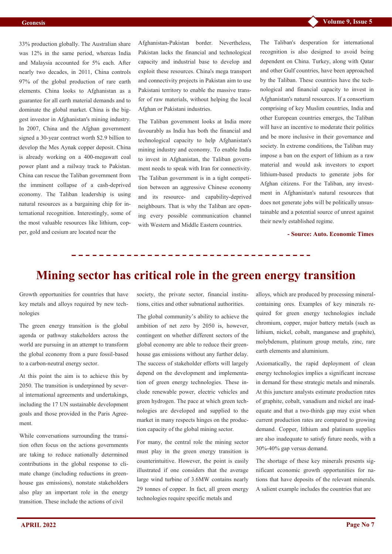33% production globally. The Australian share was 12% in the same period, whereas India and Malaysia accounted for 5% each. After nearly two decades, in 2011, China controls 97% of the global production of rare earth elements. China looks to Afghanistan as a guarantee for all earth material demands and to dominate the global market. China is the biggest investor in Afghanistan's mining industry. In 2007, China and the Afghan government signed a 30-year contract worth \$2.9 billion to develop the Mes Aynak copper deposit. China is already working on a 400-megawatt coal power plant and a railway track to Pakistan. China can rescue the Taliban government from the imminent collapse of a cash-deprived economy. The Taliban leadership is using natural resources as a bargaining chip for international recognition. Interestingly, some of the most valuable resources like lithium, copper, gold and cesium are located near the

Afghanistan-Pakistan border. Nevertheless, Pakistan lacks the financial and technological capacity and industrial base to develop and exploit these resources. China's mega transport and connectivity projects in Pakistan aim to use Pakistani territory to enable the massive transfer of raw materials, without helping the local Afghan or Pakistani industries.

The Taliban government looks at India more favourably as India has both the financial and technological capacity to help Afghanistan's mining industry and economy. To enable India to invest in Afghanistan, the Taliban government needs to speak with Iran for connectivity. The Taliban government is in a tight competition between an aggressive Chinese economy and its resource- and capability-deprived neighbours. That is why the Taliban are opening every possible communication channel with Western and Middle Eastern countries.

The Taliban's desperation for international recognition is also designed to avoid being dependent on China. Turkey, along with Qatar and other Gulf countries, have been approached by the Taliban. These countries have the technological and financial capacity to invest in Afghanistan's natural resources. If a consortium comprising of key Muslim countries, India and other European countries emerges, the Taliban will have an incentive to moderate their politics and be more inclusive in their governance and society. In extreme conditions, the Taliban may impose a ban on the export of lithium as a raw material and would ask investors to export lithium-based products to generate jobs for Afghan citizens. For the Taliban, any investment in Afghanistan's natural resources that does not generate jobs will be politically unsustainable and a potential source of unrest against their newly established regime.

**- Source: Auto. Economic Times** 

### **Mining sector has critical role in the green energy transition**

Growth opportunities for countries that have key metals and alloys required by new technologies

The green energy transition is the global agenda or pathway stakeholders across the world are pursuing in an attempt to transform the global economy from a pure fossil-based to a carbon-neutral energy sector.

At this point the aim is to achieve this by 2050. The transition is underpinned by several international agreements and undertakings, including the 17 UN sustainable development goals and those provided in the Paris Agreement.

While conversations surrounding the transition often focus on the actions governments are taking to reduce nationally determined contributions in the global response to climate change (including reductions in greenhouse gas emissions), nonstate stakeholders also play an important role in the energy transition. These include the actions of civil

society, the private sector, financial institutions, cities and other subnational authorities.

The global community's ability to achieve the ambition of net zero by 2050 is, however, contingent on whether different sectors of the global economy are able to reduce their greenhouse gas emissions without any further delay. The success of stakeholder efforts will largely depend on the development and implementation of green energy technologies. These include renewable power, electric vehicles and green hydrogen. The pace at which green technologies are developed and supplied to the market in many respects hinges on the production capacity of the global mining sector.

For many, the central role the mining sector must play in the green energy transition is counterintuitive. However, the point is easily illustrated if one considers that the average large wind turbine of 3.6MW contains nearly 29 tonnes of copper. In fact, all green energy technologies require specific metals and

alloys, which are produced by processing mineralcontaining ores. Examples of key minerals required for green energy technologies include chromium, copper, major battery metals (such as lithium, nickel, cobalt, manganese and graphite), molybdenum, platinum group metals, zinc, rare earth elements and aluminium.

Axiomatically, the rapid deployment of clean energy technologies implies a significant increase in demand for these strategic metals and minerals. At this juncture analysts estimate production rates of graphite, cobalt, vanadium and nickel are inadequate and that a two-thirds gap may exist when current production rates are compared to growing demand. Copper, lithium and platinum supplies are also inadequate to satisfy future needs, with a 30%-40% gap versus demand.

The shortage of these key minerals presents significant economic growth opportunities for nations that have deposits of the relevant minerals. A salient example includes the countries that are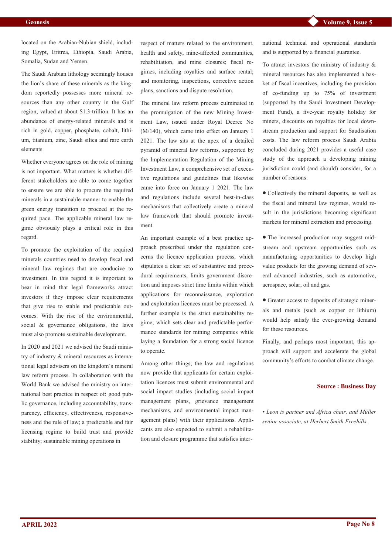located on the Arabian-Nubian shield, including Egypt, Eritrea, Ethiopia, Saudi Arabia, Somalia, Sudan and Yemen.

The Saudi Arabian lithology seemingly houses the lion's share of these minerals as the kingdom reportedly possesses more mineral resources than any other country in the Gulf region, valued at about \$1.3-trillion. It has an abundance of energy-related minerals and is rich in gold, copper, phosphate, cobalt, lithium, titanium, zinc, Saudi silica and rare earth elements.

Whether everyone agrees on the role of mining is not important. What matters is whether different stakeholders are able to come together to ensure we are able to procure the required minerals in a sustainable manner to enable the green energy transition to proceed at the required pace. The applicable mineral law regime obviously plays a critical role in this regard.

To promote the exploitation of the required minerals countries need to develop fiscal and mineral law regimes that are conducive to investment. In this regard it is important to bear in mind that legal frameworks attract investors if they impose clear requirements that give rise to stable and predictable outcomes. With the rise of the environmental, social & governance obligations, the laws must also promote sustainable development.

In 2020 and 2021 we advised the Saudi ministry of industry & mineral resources as international legal advisers on the kingdom's mineral law reform process. In collaboration with the World Bank we advised the ministry on international best practice in respect of: good public governance, including accountability, transparency, efficiency, effectiveness, responsiveness and the rule of law; a predictable and fair licensing regime to build trust and provide stability; sustainable mining operations in

respect of matters related to the environment, health and safety, mine-affected communities, rehabilitation, and mine closures; fiscal regimes, including royalties and surface rental; and monitoring, inspections, corrective action plans, sanctions and dispute resolution.

The mineral law reform process culminated in the promulgation of the new Mining Investment Law, issued under Royal Decree No (M/140), which came into effect on January 1 2021. The law sits at the apex of a detailed pyramid of mineral law reforms, supported by the Implementation Regulation of the Mining Investment Law, a comprehensive set of executive regulations and guidelines that likewise came into force on January 1 2021. The law and regulations include several best-in-class mechanisms that collectively create a mineral law framework that should promote investment.

An important example of a best practice approach prescribed under the regulation concerns the licence application process, which stipulates a clear set of substantive and procedural requirements, limits government discretion and imposes strict time limits within which applications for reconnaissance, exploration and exploitation licences must be processed. A further example is the strict sustainability regime, which sets clear and predictable performance standards for mining companies while laying a foundation for a strong social licence to operate.

Among other things, the law and regulations now provide that applicants for certain exploitation licences must submit environmental and social impact studies (including social impact management plans, grievance management mechanisms, and environmental impact management plans) with their applications. Applicants are also expected to submit a rehabilitation and closure programme that satisfies international technical and operational standards and is supported by a financial guarantee.

To attract investors the ministry of industry & mineral resources has also implemented a basket of fiscal incentives, including the provision of co-funding up to 75% of investment (supported by the Saudi Investment Development Fund), a five-year royalty holiday for miners, discounts on royalties for local downstream production and support for Saudisation costs. The law reform process Saudi Arabia concluded during 2021 provides a useful case study of the approach a developing mining jurisdiction could (and should) consider, for a number of reasons:

 Collectively the mineral deposits, as well as the fiscal and mineral law regimes, would result in the jurisdictions becoming significant markets for mineral extraction and processing.

 The increased production may suggest midstream and upstream opportunities such as manufacturing opportunities to develop high value products for the growing demand of several advanced industries, such as automotive, aerospace, solar, oil and gas.

 Greater access to deposits of strategic minerals and metals (such as copper or lithium) would help satisfy the ever-growing demand for these resources.

Finally, and perhaps most important, this approach will support and accelerate the global community's efforts to combat climate change.

#### **Source : Business Day**

*• Leon is partner and Africa chair, and Müller senior associate, at Herbert Smith Freehills.*